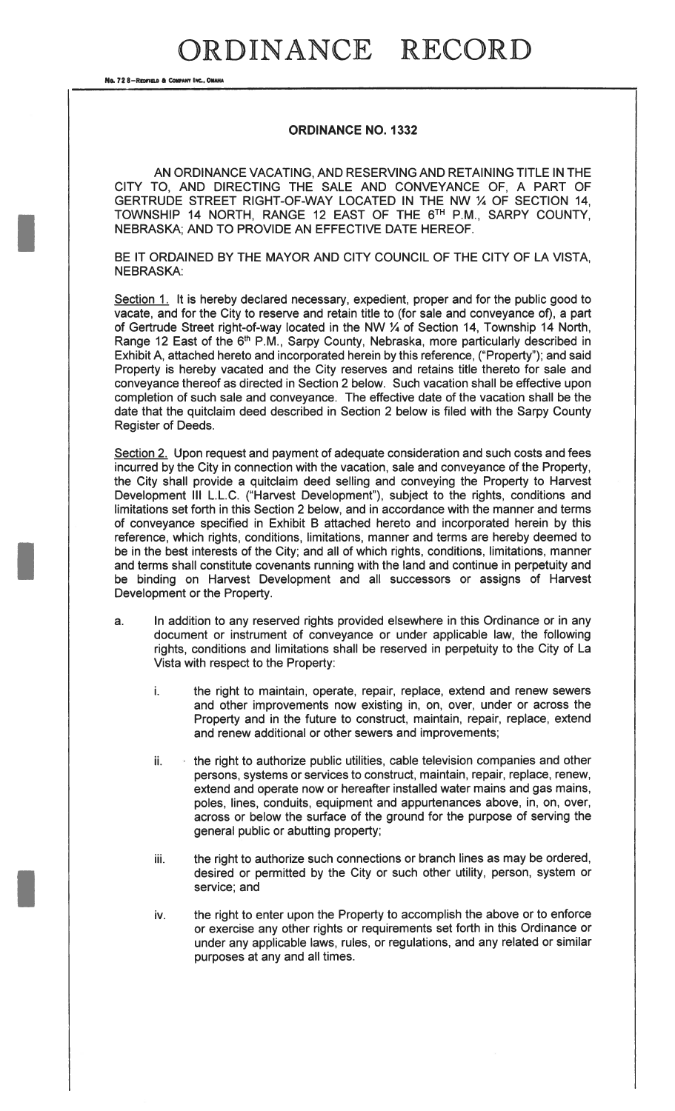### ORDINANCE RECORD

No. 72 8-REDFIELD & COMPANY INC., OMAN

#### ORDINANCE NO. 1332

AN ORDINANCE VACATING, AND RESERVING AND RETAINING TITLE IN THE CITY TO, AND DIRECTING THE SALE AND CONVEYANCE OF, A PART OF GERTRUDE STREET RIGHT-OF-WAY LOCATED IN THE NW ¼ OF SECTION 14, TOWNSHIP 14 NORTH, RANGE 12 EAST OF THE 6TH P.M., SARPY COUNTY, NEBRASKA; AND TO PROVIDE AN EFFECTIVE DATE HEREOF.

BE IT ORDAINED BY THE MAYOR AND CITY COUNCIL OF THE CITY OF LA VISTA, NEBRASKA:

Section 1. It is hereby declared necessary, expedient, proper and for the public good to vacate, and for the City to reserve and retain title to (for sale and conveyance of), a part of Gertrude Street right-of-way located in the NW ¼ of Section 14, Township 14 North, Range 12 East of the 6<sup>th</sup> P.M., Sarpy County, Nebraska, more particularly described in Exhibit A, attached hereto and incorporated herein by this reference, ("Property"); and said Property is hereby vacated and the City reserves and retains title thereto for sale and conveyance thereof as directed in Section 2 below. Such vacation shall be effective upon completion of such sale and conveyance. The effective date of the vacation shall be the date that the quitclaim deed described in Section 2 below is filed with the Sarpy County Register of Deeds.

Section 2. Upon request and payment of adequate consideration and such costs and fees incurred by the City in connection with the vacation, sale and conveyance of the Property, the City shall provide a quitclaim deed selling and conveying the Property to Harvest Development III L.L.C. ("Harvest Development"), subject to the rights, conditions and limitations set forth in this Section 2 below, and in accordance with the manner and terms of conveyance specified in Exhibit <sup>B</sup> attached hereto and incorporated herein by this reference, which rights, conditions, limitations, manner and terms are hereby deemed to be in the best interests of the City; and all of which rights, conditions, limitations, manner and terms shall constitute covenants running with the land and continue in perpetuity and be binding on Harvest Development and all successors or assigns of Harvest Development or the Property.

- a. In addition to any reserved rights provided elsewhere in this Ordinance or in any document or instrument of conveyance or under applicable law, the following rights, conditions and limitations shall be reserved in perpetuity to the City of La Vista with respect to the Property:
	- i. the right to maintain, operate, repair, replace, extend and renew sewers and other improvements now existing in, on, over, under or across the Property and in the future to construct, maintain, repair, replace, extend and renew additional or other sewers and improvements;
	- ii. the right to authorize public utilities, cable television companies and other persons, systems or services to construct, maintain, repair, replace, renew, extend and operate now or hereafter installed water mains and gas mains, poles, lines, conduits, equipment and appurtenances above, in, on, over, across or below the surface of the ground for the purpose of serving the general public or abutting property;
	- iii. the right to authorize such connections or branch lines as may be ordered, desired or permitted by the City or such other utility, person, system or service; and
	- iv. the right to enter upon the Property to accomplish the above or to enforce or exercise any other rights or requirements set forth in this Ordinance or under any applicable laws, rules, or regulations, and any related or similar purposes at any and all times.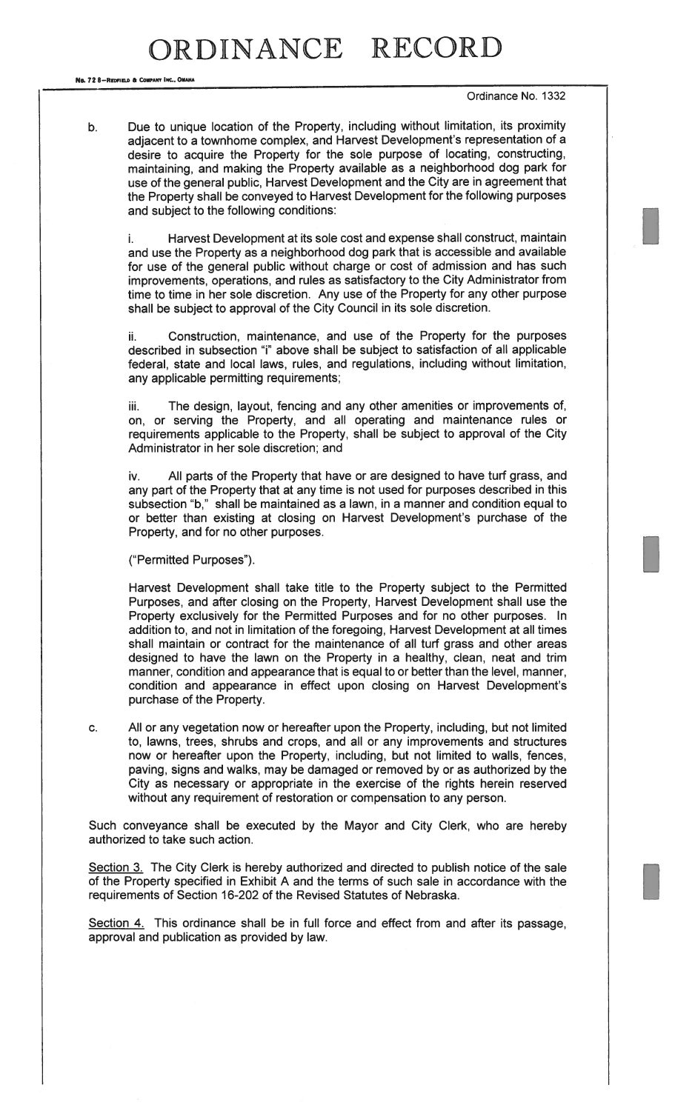No. 72 8-Redfield & Company Inc., OMANA

— Ordinance No. <sup>1332</sup>

b. Due to unique location of the Property, including without limitation, its proximity adjacent to a townhome complex, and Harvest Development's representation of a desire to acquire the Property for the sole purpose of locating, constructing, maintaining, and making the Property available as <sup>a</sup> neighborhood dog park for use of the genera<sup>l</sup> public, Harvest Development and the City are in agreemen<sup>t</sup> that the Property shall be conveye<sup>d</sup> to Harvest Development for the following purposes and subject to the following conditions:

Harvest Development at its sole cost and expense shall construct, maintain i. and use the Property as <sup>a</sup> neighborhood dog park that is accessible and available for use of the genera<sup>l</sup> public without charge or cost of admission and has such improvements, operations, and rules as satisfactory to the City Administrator from time to time in her sole discretion. Any use of the Property for any other purpose shall be subject to approva<sup>l</sup> of the City Council in its sole discretion.

ii. Construction, maintenance, and use of the Property for the purposes described in subsection "i" above shall be subject to satisfaction of all applicable federal, state and local laws, rules, and regulations, including without limitation, any applicable permitting requirements;

iii. The design, layout, fencing and any other amenities or improvements of, on, or serving the Property, and all operating and maintenance rules or requirements applicable to the Property, shall be subject to approva<sup>l</sup> of the City Administrator in her sole discretion; and

iv. All parts of the Property that have or are designed to have turf grass, and any par<sup>t</sup> of the Property that at any time is not used for purposes described in this subsection 'b," shall be maintained as <sup>a</sup> lawn, in <sup>a</sup> manner and condition equal to or better than existing at closing on Harvest Development's purchase of the Property, and for no other purposes.

("Permitted Purposes"). I

Harvest Development shall take title to the Property subject to the Permitted Purposes, and after closing on the Property, Harvest Development shall use the Property exclusively for the Permitted Purposes and for no other purposes. In addition to, and not in limitation of the foregoing, Harvest Development at all times shall maintain or contract for the maintenance of all turf grass and other areas designed to have the lawn on the Property in <sup>a</sup> healthy, clean, neat and trim manner, condition and appearance that is equal to or better than the level, manner, condition and appearance in effect upon closing on Harvest Development's purchase of the Property.

c. All or any vegetation now or hereafter upon the Property, including, but not limited to, lawns, trees, shrubs and crops, and all or any improvements and structures now or hereafter upon the Property, including, but not limited to walls, fences, paving, signs and walks, may be damaged or removed by or as authorized by the City as necessary or appropriate in the exercise of the rights herein reserved without any requirement of restoration or compensation to any person.

Such conveyance shall be executed by the Mayor and City Clerk, who are hereby authorized to take such action.

Section 3. The City Clerk is hereby authorized and directed to publish notice of the sale of the Property specified in Exhibit A and the terms of such sale in accordance with the requirements of Section 16-202 of the Revised Statutes of Nebraska.

Section 4. This ordinance shall be in full force and effect from and after its passage, approval and publication as provided by law.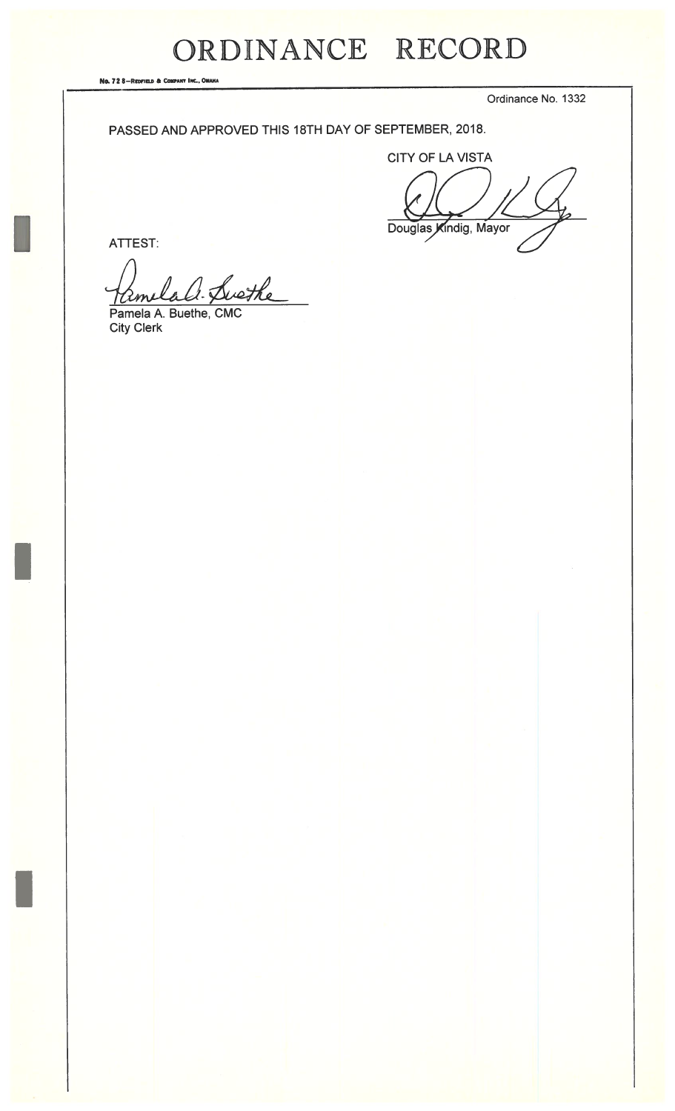## ORDINANCE RECORD

No. 72 8-Redfield & Company Inc., OMAHA

Ordinance No. 1332

#### PASSED AND APPROVED THIS 18TH DAY OF SEPTEMBER, 2018.

CITY OF LA VISTA

Douglas Kindig, Mayor

ATTEST:

Lali Swethe

Pamela A. Buethe, CMC City Clerk